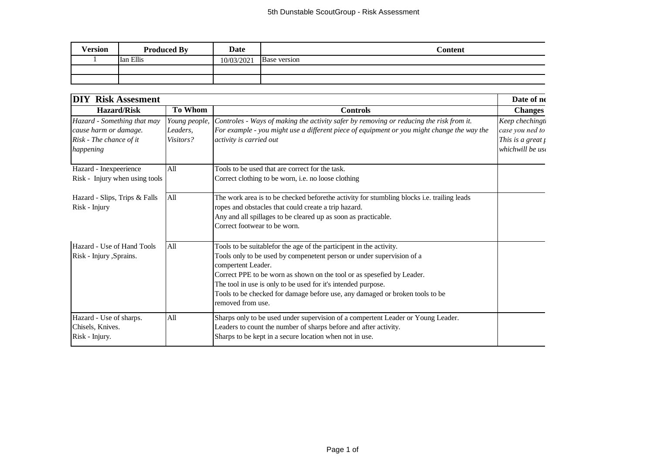| <b>Version</b> | <b>Produced By</b> | <b>Date</b> | Content      |
|----------------|--------------------|-------------|--------------|
|                | Ian Ellis          | 10/03/2021  | Base version |
|                |                    |             |              |
|                |                    |             |              |

| <b>DIY Risk Assesment</b>                                                                    |                                        |                                                                                                                                                                                                                                                                                                                                                                                                                    | Date of ne                                                                      |
|----------------------------------------------------------------------------------------------|----------------------------------------|--------------------------------------------------------------------------------------------------------------------------------------------------------------------------------------------------------------------------------------------------------------------------------------------------------------------------------------------------------------------------------------------------------------------|---------------------------------------------------------------------------------|
| <b>Hazard/Risk</b>                                                                           | <b>To Whom</b>                         | <b>Controls</b>                                                                                                                                                                                                                                                                                                                                                                                                    | <b>Changes</b>                                                                  |
| Hazard - Something that may<br>cause harm or damage.<br>Risk - The chance of it<br>happening | Young people,<br>Leaders,<br>Visitors? | Controles - Ways of making the activity safer by removing or reducing the risk from it.<br>For example - you might use a different piece of equipment or you might change the way the<br>activity is carried out                                                                                                                                                                                                   | Keep chechingt.<br>case you ned to<br>This is a great $\mu$<br>whichwill be use |
| Hazard - Inexpeerience<br>Risk - Injury when using tools                                     | All                                    | Tools to be used that are correct for the task.<br>Correct clothing to be worn, i.e. no loose clothing                                                                                                                                                                                                                                                                                                             |                                                                                 |
| Hazard - Slips, Trips & Falls<br>Risk - Injury                                               | All                                    | The work area is to be checked beforethe activity for stumbling blocks i.e. trailing leads<br>ropes and obstacles that could create a trip hazard.<br>Any and all spillages to be cleared up as soon as practicable.<br>Correct footwear to be worn.                                                                                                                                                               |                                                                                 |
| Hazard - Use of Hand Tools<br>Risk - Injury , Sprains.                                       | All                                    | Tools to be suitablefor the age of the participent in the activity.<br>Tools only to be used by compenetent person or under supervision of a<br>compertent Leader.<br>Correct PPE to be worn as shown on the tool or as spesefied by Leader.<br>The tool in use is only to be used for it's intended purpose.<br>Tools to be checked for damage before use, any damaged or broken tools to be<br>removed from use. |                                                                                 |
| Hazard - Use of sharps.<br>Chisels, Knives.<br>Risk - Injury.                                | All                                    | Sharps only to be used under supervision of a compertent Leader or Young Leader.<br>Leaders to count the number of sharps before and after activity.<br>Sharps to be kept in a secure location when not in use.                                                                                                                                                                                                    |                                                                                 |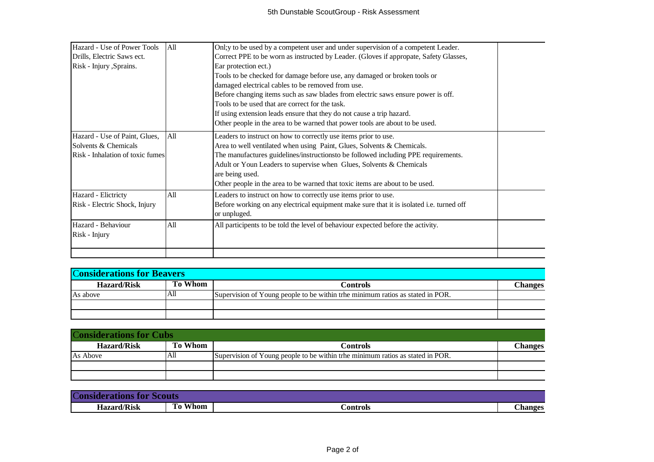| Hazard - Use of Power Tools      | All | Onl; y to be used by a competent user and under supervision of a competent Leader.       |  |
|----------------------------------|-----|------------------------------------------------------------------------------------------|--|
| Drills, Electric Saws ect.       |     | Correct PPE to be worn as instructed by Leader. (Gloves if appropate, Safety Glasses,    |  |
| Risk - Injury , Sprains.         |     | Ear protection ect.)                                                                     |  |
|                                  |     | Tools to be checked for damage before use, any damaged or broken tools or                |  |
|                                  |     | damaged electrical cables to be removed from use.                                        |  |
|                                  |     | Before changing items such as saw blades from electric saws ensure power is off.         |  |
|                                  |     | Tools to be used that are correct for the task.                                          |  |
|                                  |     | If using extension leads ensure that they do not cause a trip hazard.                    |  |
|                                  |     | Other people in the area to be warned that power tools are about to be used.             |  |
| Hazard - Use of Paint, Glues,    | All | Leaders to instruct on how to correctly use items prior to use.                          |  |
| Solvents & Chemicals             |     | Area to well ventilated when using Paint, Glues, Solvents & Chemicals.                   |  |
| Risk - Inhalation of toxic fumes |     | The manufactures guidelines/instructionsto be followed including PPE requirements.       |  |
|                                  |     | Adult or Youn Leaders to supervise when Glues, Solvents & Chemicals                      |  |
|                                  |     | are being used.                                                                          |  |
|                                  |     | Other people in the area to be warned that toxic items are about to be used.             |  |
| Hazard - Elictricty              | All | Leaders to instruct on how to correctly use items prior to use.                          |  |
| Risk - Electric Shock, Injury    |     | Before working on any electrical equipment make sure that it is isolated i.e. turned off |  |
|                                  |     | or unpluged.                                                                             |  |
| Hazard - Behaviour               | All | All participents to be told the level of behaviour expected before the activity.         |  |
| Risk - Injury                    |     |                                                                                          |  |
|                                  |     |                                                                                          |  |

| <b>Considerations for Beavers</b> |                |                                                                                |               |
|-----------------------------------|----------------|--------------------------------------------------------------------------------|---------------|
| <b>Hazard/Risk</b>                | <b>To Whom</b> | Controls                                                                       | <b>hanges</b> |
| As above                          | All            | Supervision of Young people to be within trhe minimum ratios as stated in POR. |               |
|                                   |                |                                                                                |               |
|                                   |                |                                                                                |               |

| <b>Considerations for Cubs</b> |                |                                                                                |               |
|--------------------------------|----------------|--------------------------------------------------------------------------------|---------------|
| <b>Hazard/Risk</b>             | <b>To Whom</b> | Controls                                                                       | <b>hanges</b> |
| As Above                       | ΑШ             | Supervision of Young people to be within trhe minimum ratios as stated in POR. |               |
|                                |                |                                                                                |               |
|                                |                |                                                                                |               |

| $\overline{C}$     |                 |          |               |
|--------------------|-----------------|----------|---------------|
| <b>Hazard/Risk</b> | Whom<br>œ<br>10 | €ontrols | <b>hanges</b> |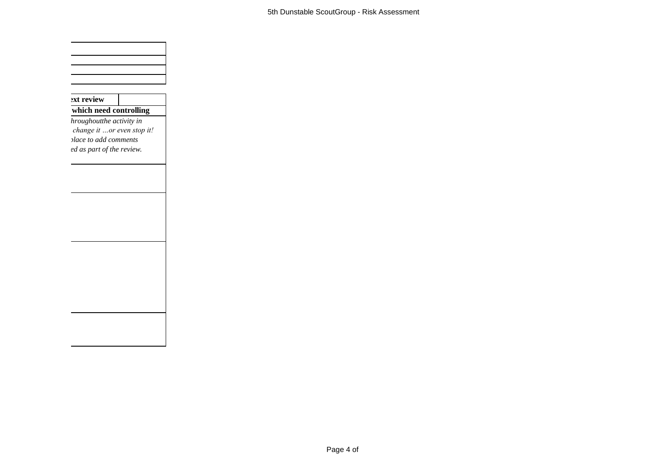| ext review                 |  |
|----------------------------|--|
| which need controlling     |  |
| hroughoutthe activity in   |  |
| change it or even stop it! |  |
| place to add comments      |  |
| ed as part of the review.  |  |
|                            |  |
|                            |  |
|                            |  |
|                            |  |
|                            |  |
|                            |  |
|                            |  |
|                            |  |
|                            |  |
|                            |  |
|                            |  |
|                            |  |
|                            |  |
|                            |  |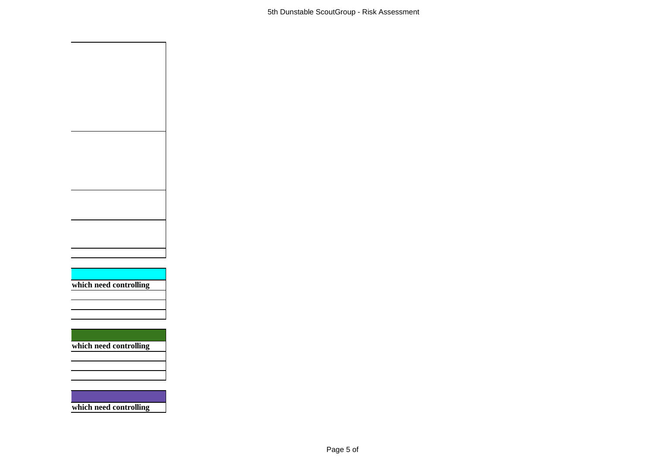

**which need controlling**